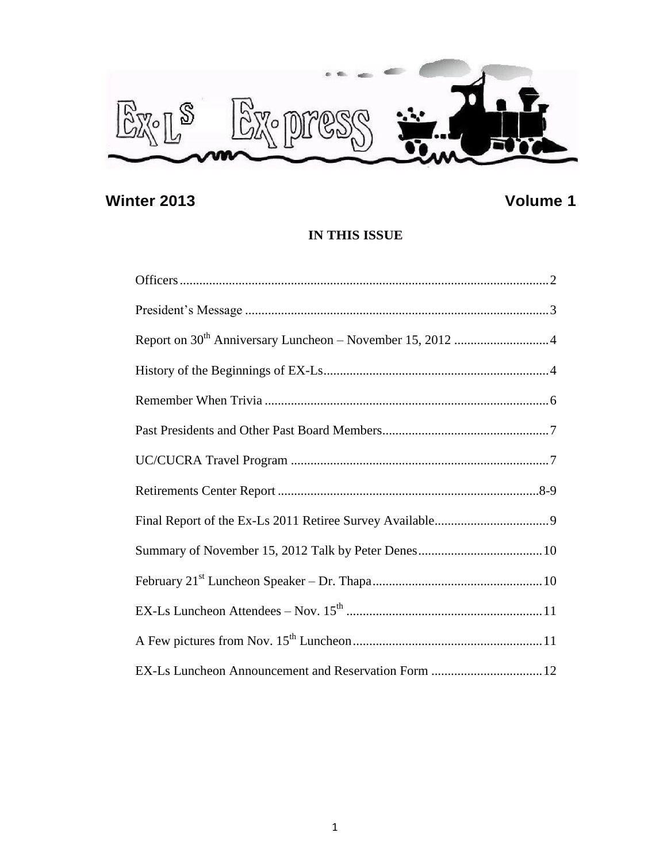

# **Winter 2013 Volume 1**

# **IN THIS ISSUE**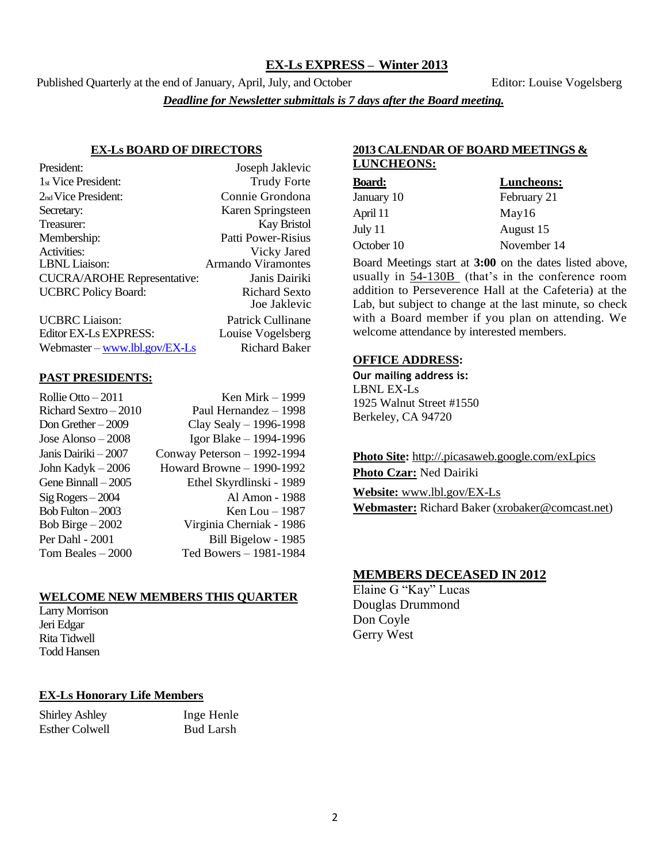#### **EX-Ls EXPRESS – Winter 2013**

Published Quarterly at the end of January, April, July, and October Editor: Louise Vogelsberg

*Deadline for Newsletter submittals is 7 days after the Board meeting.*

#### **EX-Ls BOARD OF DIRECTORS**

| President:                         | Joseph Jaklevic           |
|------------------------------------|---------------------------|
| 1 <sub>st</sub> Vice President:    | <b>Trudy Forte</b>        |
| 2 <sub>nd</sub> Vice President:    | Connie Grondona           |
| Secretary:                         | Karen Springsteen         |
| Treasurer:                         | <b>Kay Bristol</b>        |
| Membership:                        | Patti Power-Risius        |
| Activities:                        | Vicky Jared               |
| <b>LBNL</b> Liaison:               | <b>Armando Viramontes</b> |
| <b>CUCRA/AROHE Representative:</b> | Janis Dairiki             |
| <b>UCBRC</b> Policy Board:         | Richard Sexto             |
|                                    | Joe Jaklevic              |
| <b>UCBRC</b> Liaison:              | Patrick Cullinane         |
| Editor EX-Ls EXPRESS:              | Louise Vogelsberg         |
| Webmaster – www.lbl.gov/ $EX$ -Ls  | <b>Richard Baker</b>      |

#### **PAST PRESIDENTS:**

| Rollie Otto $-2011$   | Ken Mirk - 1999             |
|-----------------------|-----------------------------|
| Richard Sextro - 2010 | Paul Hernandez - 1998       |
| Don Grether $-2009$   | Clay Sealy $-1996-1998$     |
| Jose Alonso $-2008$   | Igor Blake - 1994-1996      |
| Janis Dairiki – 2007  | Conway Peterson - 1992-1994 |
| John Kadyk $-2006$    | Howard Browne - 1990-1992   |
| Gene Binnall-2005     | Ethel Skyrdlinski - 1989    |
| $Sig Rogers - 2004$   | Al Amon - 1988              |
| Bob Fulton $-2003$    | Ken Lou $-1987$             |
| Bob Birge $-2002$     | Virginia Cherniak - 1986    |
| Per Dahl - 2001       | Bill Bigelow - 1985         |
| Tom Beales $-2000$    | Ted Bowers - 1981-1984      |

#### **WELCOME NEW MEMBERS THIS QUARTER**

Larry Morrison Jeri Edgar Rita Tidwell Todd Hansen

#### **EX-Ls Honorary Life Members**

Shirley Ashley Inge Henle Esther Colwell Bud Larsh

## **2013 CALENDAR OF BOARD MEETINGS & LUNCHEONS:**

| <b>Board:</b> | Luncheons:  |  |
|---------------|-------------|--|
| January 10    | February 21 |  |
| April 11      | May16       |  |
| July 11       | August 15   |  |
| October 10    | November 14 |  |

Board Meetings start at **3:00** on the dates listed above, usually in 54-130B (that's in the conference room addition to Perseverence Hall at the Cafeteria) at the Lab, but subject to change at the last minute, so check with a Board member if you plan on attending. We welcome attendance by interested members.

#### **OFFICE ADDRESS:**

**Our mailing address is:** LBNL EX-Ls 1925 Walnut Street #1550 Berkeley, CA 94720

**Photo Site:** http://.picasaweb.google.com/exLpics **Photo Czar:** Ned Dairiki **Website:** [www.lbl.gov/EX-Ls](http://www.lbl.gov/EX-Ls) **Webmaster:** Richard Baker [\(xrobaker@comcast.net\)](mailto:xrobaker@comcast.net)

# **MEMBERS DECEASED IN 2012**

Elaine G "Kay" Lucas Douglas Drummond Don Coyle Gerry West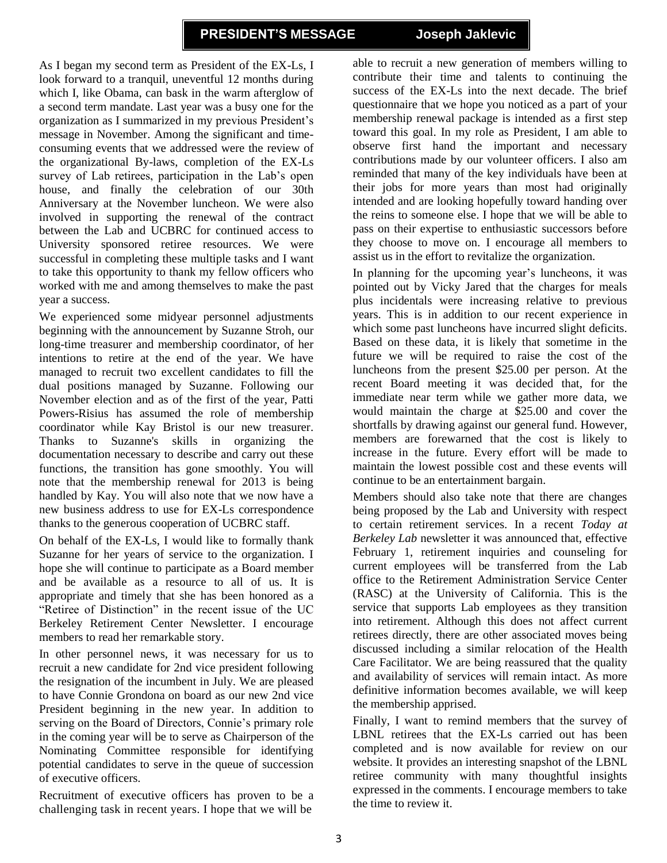As I began my second term as President of the EX-Ls, I look forward to a tranquil, uneventful 12 months during which I, like Obama, can bask in the warm afterglow of a second term mandate. Last year was a busy one for the organization as I summarized in my previous President's message in November. Among the significant and timeconsuming events that we addressed were the review of the organizational By-laws, completion of the EX-Ls survey of Lab retirees, participation in the Lab's open house, and finally the celebration of our 30th Anniversary at the November luncheon. We were also involved in supporting the renewal of the contract between the Lab and UCBRC for continued access to University sponsored retiree resources. We were successful in completing these multiple tasks and I want to take this opportunity to thank my fellow officers who worked with me and among themselves to make the past year a success.

We experienced some midyear personnel adjustments beginning with the announcement by Suzanne Stroh, our long-time treasurer and membership coordinator, of her intentions to retire at the end of the year. We have managed to recruit two excellent candidates to fill the dual positions managed by Suzanne. Following our November election and as of the first of the year, Patti Powers-Risius has assumed the role of membership coordinator while Kay Bristol is our new treasurer. Thanks to Suzanne's skills in organizing the documentation necessary to describe and carry out these functions, the transition has gone smoothly. You will note that the membership renewal for 2013 is being handled by Kay. You will also note that we now have a new business address to use for EX-Ls correspondence thanks to the generous cooperation of UCBRC staff.

On behalf of the EX-Ls, I would like to formally thank Suzanne for her years of service to the organization. I hope she will continue to participate as a Board member and be available as a resource to all of us. It is appropriate and timely that she has been honored as a "Retiree of Distinction" in the recent issue of the UC Berkeley Retirement Center Newsletter. I encourage members to read her remarkable story.

In other personnel news, it was necessary for us to recruit a new candidate for 2nd vice president following the resignation of the incumbent in July. We are pleased to have Connie Grondona on board as our new 2nd vice President beginning in the new year. In addition to serving on the Board of Directors, Connie's primary role in the coming year will be to serve as Chairperson of the Nominating Committee responsible for identifying potential candidates to serve in the queue of succession of executive officers.

Recruitment of executive officers has proven to be a challenging task in recent years. I hope that we will be

able to recruit a new generation of members willing to contribute their time and talents to continuing the success of the EX-Ls into the next decade. The brief questionnaire that we hope you noticed as a part of your membership renewal package is intended as a first step toward this goal. In my role as President, I am able to observe first hand the important and necessary contributions made by our volunteer officers. I also am reminded that many of the key individuals have been at their jobs for more years than most had originally intended and are looking hopefully toward handing over the reins to someone else. I hope that we will be able to pass on their expertise to enthusiastic successors before they choose to move on. I encourage all members to assist us in the effort to revitalize the organization.

In planning for the upcoming year's luncheons, it was pointed out by Vicky Jared that the charges for meals plus incidentals were increasing relative to previous years. This is in addition to our recent experience in which some past luncheons have incurred slight deficits. Based on these data, it is likely that sometime in the future we will be required to raise the cost of the luncheons from the present \$25.00 per person. At the recent Board meeting it was decided that, for the immediate near term while we gather more data, we would maintain the charge at \$25.00 and cover the shortfalls by drawing against our general fund. However, members are forewarned that the cost is likely to increase in the future. Every effort will be made to maintain the lowest possible cost and these events will continue to be an entertainment bargain.

Members should also take note that there are changes being proposed by the Lab and University with respect to certain retirement services. In a recent *Today at Berkeley Lab* newsletter it was announced that, effective February 1, retirement inquiries and counseling for current employees will be transferred from the Lab office to the Retirement Administration Service Center (RASC) at the University of California. This is the service that supports Lab employees as they transition into retirement. Although this does not affect current retirees directly, there are other associated moves being discussed including a similar relocation of the Health Care Facilitator. We are being reassured that the quality and availability of services will remain intact. As more definitive information becomes available, we will keep the membership apprised.

Finally, I want to remind members that the survey of LBNL retirees that the EX-Ls carried out has been completed and is now available for review on our website. It provides an interesting snapshot of the LBNL retiree community with many thoughtful insights expressed in the comments. I encourage members to take the time to review it.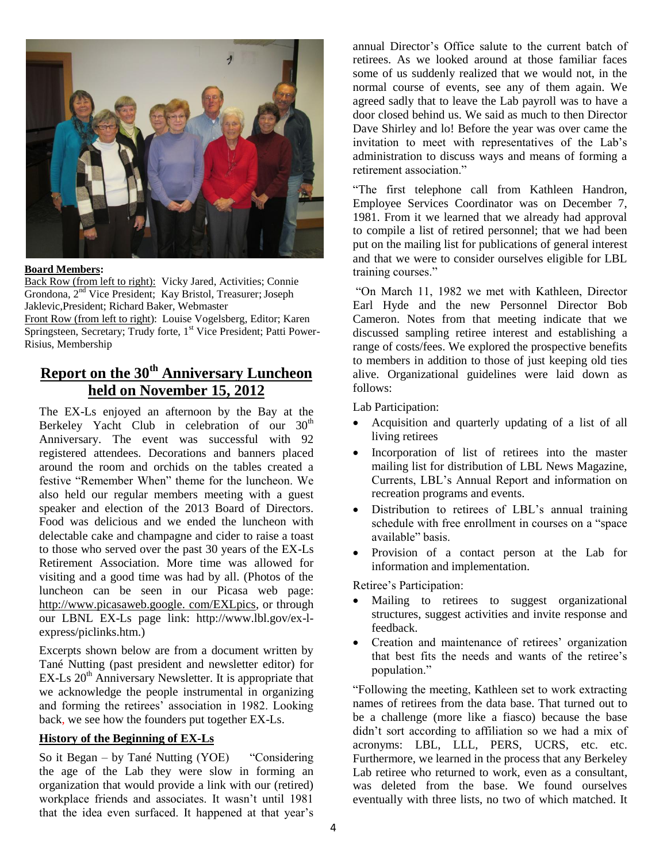

#### **Board Members:**

Back Row (from left to right): Vicky Jared, Activities; Connie Grondona, 2nd Vice President; Kay Bristol, Treasurer; Joseph Jaklevic,President; Richard Baker, Webmaster

Front Row (from left to right): Louise Vogelsberg, Editor; Karen Springsteen, Secretary; Trudy forte, 1<sup>st</sup> Vice President; Patti Power-Risius, Membership

# **Report on the 30th Anniversary Luncheon held on November 15, 2012**

The EX-Ls enjoyed an afternoon by the Bay at the Berkeley Yacht Club in celebration of our  $30<sup>th</sup>$ Anniversary. The event was successful with 92 registered attendees. Decorations and banners placed around the room and orchids on the tables created a festive "Remember When" theme for the luncheon. We also held our regular members meeting with a guest speaker and election of the 2013 Board of Directors. Food was delicious and we ended the luncheon with delectable cake and champagne and cider to raise a toast to those who served over the past 30 years of the EX-Ls Retirement Association. More time was allowed for visiting and a good time was had by all. (Photos of the luncheon can be seen in our Picasa web page: [http://www.picasaweb.google. com/EXLpics,](http://www.picasaweb.google.com/EXLpics) or through our LBNL EX-Ls page link: http://www.lbl.gov/ex-lexpress/piclinks.htm.)

Excerpts shown below are from a document written by Tané Nutting (past president and newsletter editor) for EX-Ls 20<sup>th</sup> Anniversary Newsletter. It is appropriate that we acknowledge the people instrumental in organizing and forming the retirees' association in 1982. Looking back, we see how the founders put together EX-Ls.

#### **History of the Beginning of EX-Ls**

So it Began – by Tané Nutting (YOE) "Considering the age of the Lab they were slow in forming an organization that would provide a link with our (retired) workplace friends and associates. It wasn't until 1981 that the idea even surfaced. It happened at that year's

annual Director's Office salute to the current batch of retirees. As we looked around at those familiar faces some of us suddenly realized that we would not, in the normal course of events, see any of them again. We agreed sadly that to leave the Lab payroll was to have a door closed behind us. We said as much to then Director Dave Shirley and lo! Before the year was over came the invitation to meet with representatives of the Lab's administration to discuss ways and means of forming a retirement association."

"The first telephone call from Kathleen Handron, Employee Services Coordinator was on December 7, 1981. From it we learned that we already had approval to compile a list of retired personnel; that we had been put on the mailing list for publications of general interest and that we were to consider ourselves eligible for LBL training courses."

"On March 11, 1982 we met with Kathleen, Director Earl Hyde and the new Personnel Director Bob Cameron. Notes from that meeting indicate that we discussed sampling retiree interest and establishing a range of costs/fees. We explored the prospective benefits to members in addition to those of just keeping old ties alive. Organizational guidelines were laid down as follows:

Lab Participation:

- Acquisition and quarterly updating of a list of all living retirees
- Incorporation of list of retirees into the master mailing list for distribution of LBL News Magazine, Currents, LBL's Annual Report and information on recreation programs and events.
- Distribution to retirees of LBL's annual training schedule with free enrollment in courses on a "space available" basis.
- Provision of a contact person at the Lab for information and implementation.

Retiree's Participation:

- Mailing to retirees to suggest organizational structures, suggest activities and invite response and feedback.
- Creation and maintenance of retirees' organization that best fits the needs and wants of the retiree's population."

"Following the meeting, Kathleen set to work extracting names of retirees from the data base. That turned out to be a challenge (more like a fiasco) because the base didn't sort according to affiliation so we had a mix of acronyms: LBL, LLL, PERS, UCRS, etc. etc. Furthermore, we learned in the process that any Berkeley Lab retiree who returned to work, even as a consultant, was deleted from the base. We found ourselves eventually with three lists, no two of which matched. It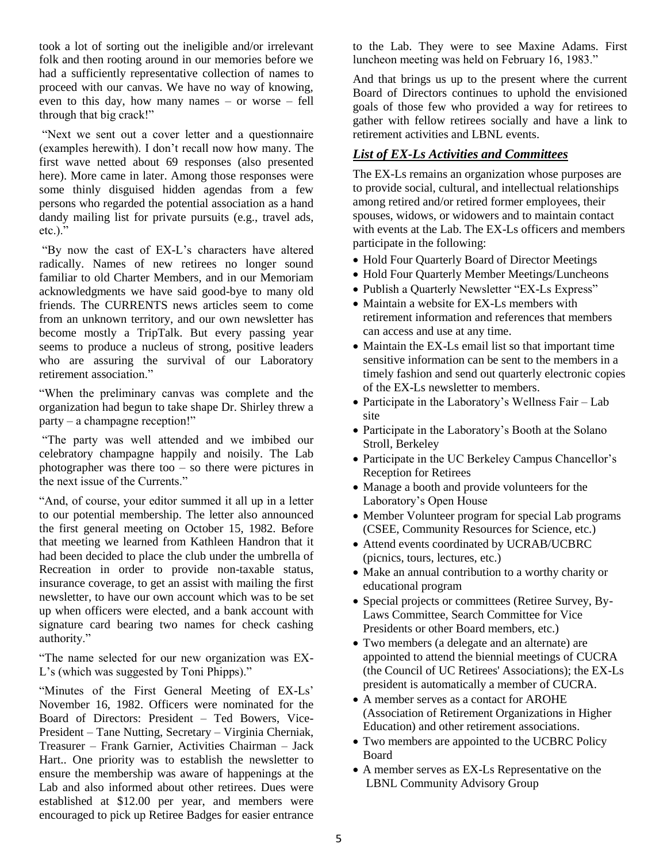took a lot of sorting out the ineligible and/or irrelevant folk and then rooting around in our memories before we had a sufficiently representative collection of names to proceed with our canvas. We have no way of knowing, even to this day, how many names – or worse – fell through that big crack!"

"Next we sent out a cover letter and a questionnaire (examples herewith). I don't recall now how many. The first wave netted about 69 responses (also presented here). More came in later. Among those responses were some thinly disguised hidden agendas from a few persons who regarded the potential association as a hand dandy mailing list for private pursuits (e.g., travel ads, etc.)."

"By now the cast of EX-L's characters have altered radically. Names of new retirees no longer sound familiar to old Charter Members, and in our Memoriam acknowledgments we have said good-bye to many old friends. The CURRENTS news articles seem to come from an unknown territory, and our own newsletter has become mostly a TripTalk. But every passing year seems to produce a nucleus of strong, positive leaders who are assuring the survival of our Laboratory retirement association."

"When the preliminary canvas was complete and the organization had begun to take shape Dr. Shirley threw a party – a champagne reception!"

"The party was well attended and we imbibed our celebratory champagne happily and noisily. The Lab photographer was there too – so there were pictures in the next issue of the Currents."

"And, of course, your editor summed it all up in a letter to our potential membership. The letter also announced the first general meeting on October 15, 1982. Before that meeting we learned from Kathleen Handron that it had been decided to place the club under the umbrella of Recreation in order to provide non-taxable status, insurance coverage, to get an assist with mailing the first newsletter, to have our own account which was to be set up when officers were elected, and a bank account with signature card bearing two names for check cashing authority."

"The name selected for our new organization was EX-L's (which was suggested by Toni Phipps)."

"Minutes of the First General Meeting of EX-Ls' November 16, 1982. Officers were nominated for the Board of Directors: President – Ted Bowers, Vice-President – Tane Nutting, Secretary – Virginia Cherniak, Treasurer – Frank Garnier, Activities Chairman – Jack Hart.. One priority was to establish the newsletter to ensure the membership was aware of happenings at the Lab and also informed about other retirees. Dues were established at \$12.00 per year, and members were encouraged to pick up Retiree Badges for easier entrance

to the Lab. They were to see Maxine Adams. First luncheon meeting was held on February 16, 1983."

And that brings us up to the present where the current Board of Directors continues to uphold the envisioned goals of those few who provided a way for retirees to gather with fellow retirees socially and have a link to retirement activities and LBNL events.

# *List of EX-Ls Activities and Committees*

The EX-Ls remains an organization whose purposes are to provide social, cultural, and intellectual relationships among retired and/or retired former employees, their spouses, widows, or widowers and to maintain contact with events at the Lab. The EX-Ls officers and members participate in the following:

- Hold Four Quarterly Board of Director Meetings
- Hold Four Quarterly Member Meetings/Luncheons
- Publish a Quarterly Newsletter "EX-Ls Express"
- Maintain a website for EX-Ls members with retirement information and references that members can access and use at any time.
- Maintain the EX-Ls email list so that important time sensitive information can be sent to the members in a timely fashion and send out quarterly electronic copies of the EX-Ls newsletter to members.
- Participate in the Laboratory's Wellness Fair Lab site
- Participate in the Laboratory's Booth at the Solano Stroll, Berkeley
- Participate in the UC Berkeley Campus Chancellor's Reception for Retirees
- Manage a booth and provide volunteers for the Laboratory's Open House
- Member Volunteer program for special Lab programs (CSEE, Community Resources for Science, etc.)
- Attend events coordinated by UCRAB/UCBRC (picnics, tours, lectures, etc.)
- Make an annual contribution to a worthy charity or educational program
- Special projects or committees (Retiree Survey, By-Laws Committee, Search Committee for Vice Presidents or other Board members, etc.)
- Two members (a delegate and an alternate) are appointed to attend the biennial meetings of CUCRA (the Council of UC Retirees' Associations); the EX-Ls president is automatically a member of CUCRA.
- A member serves as a contact for AROHE (Association of Retirement Organizations in Higher Education) and other retirement associations.
- Two members are appointed to the UCBRC Policy Board
- A member serves as EX-Ls Representative on the LBNL Community Advisory Group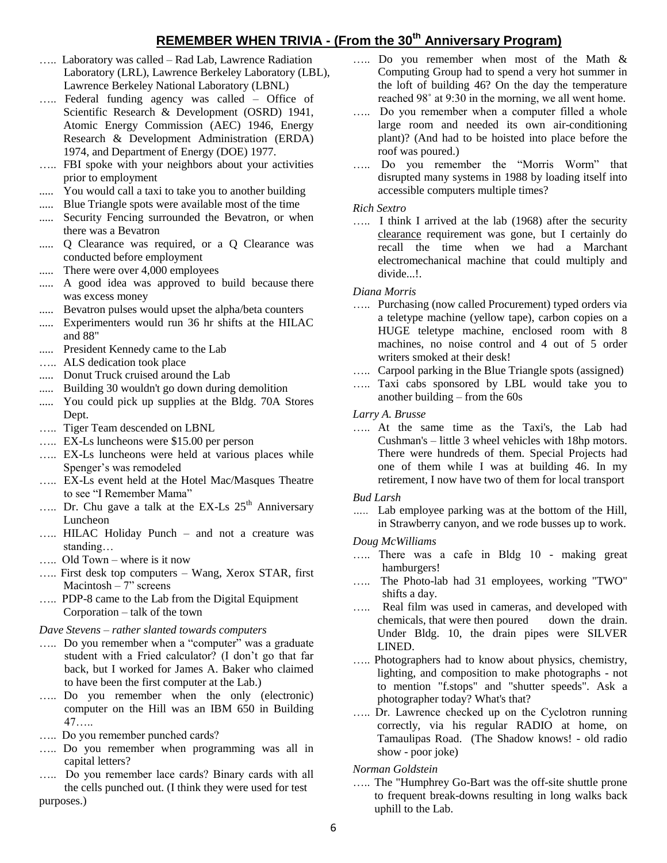# $\overline{\text{REMEMBER}}$  WHEN TRIVIA - (From the 30<sup>th</sup> Anniversary Program)

- ….. Laboratory was called Rad Lab, Lawrence Radiation Laboratory (LRL), Lawrence Berkeley Laboratory (LBL), Lawrence Berkeley National Laboratory (LBNL)
- ….. Federal funding agency was called Office of Scientific Research & Development (OSRD) 1941, Atomic Energy Commission (AEC) 1946, Energy Research & Development Administration (ERDA) 1974, and Department of Energy (DOE) 1977.
- ….. FBI spoke with your neighbors about your activities prior to employment
- ..... You would call a taxi to take you to another building
- ..... Blue Triangle spots were available most of the time
- ..... Security Fencing surrounded the Bevatron, or when there was a Bevatron
- ..... Q Clearance was required, or a Q Clearance was conducted before employment
- ..... There were over 4,000 employees
- ...... A good idea was approved to build because there was excess money
- ..... Bevatron pulses would upset the alpha/beta counters
- ..... Experimenters would run 36 hr shifts at the HILAC and 88"
- ..... President Kennedy came to the Lab
- ALS dedication took place
- ..... Donut Truck cruised around the Lab
- ..... Building 30 wouldn't go down during demolition
- ..... You could pick up supplies at the Bldg. 70A Stores Dept.
- ….. Tiger Team descended on LBNL
- ….. EX-Ls luncheons were \$15.00 per person
- ….. EX-Ls luncheons were held at various places while Spenger's was remodeled
- ….. EX-Ls event held at the Hotel Mac/Masques Theatre to see "I Remember Mama"
- ..... Dr. Chu gave a talk at the EX-Ls  $25<sup>th</sup>$  Anniversary Luncheon
- ….. HILAC Holiday Punch and not a creature was standing…
- ….. Old Town where is it now
- ….. First desk top computers Wang, Xerox STAR, first Macintosh  $-7$ " screens
- ….. PDP-8 came to the Lab from the Digital Equipment Corporation – talk of the town

#### *Dave Stevens – rather slanted towards computers*

- ….. Do you remember when a "computer" was a graduate student with a Fried calculator? (I don't go that far back, but I worked for James A. Baker who claimed to have been the first computer at the Lab.)
- ….. Do you remember when the only (electronic) computer on the Hill was an IBM 650 in Building 47…..
- Do you remember punched cards?
- ….. Do you remember when programming was all in capital letters?
- ….. Do you remember lace cards? Binary cards with all the cells punched out. (I think they were used for test purposes.)
- Do you remember when most of the Math & Computing Group had to spend a very hot summer in the loft of building 46? On the day the temperature reached 98˚ at 9:30 in the morning, we all went home.
- ….. Do you remember when a computer filled a whole large room and needed its own air-conditioning plant)? (And had to be hoisted into place before the roof was poured.)
- ….. Do you remember the "Morris Worm" that disrupted many systems in 1988 by loading itself into accessible computers multiple times?

#### *Rich Sextro*

….. I think I arrived at the lab (1968) after the security [clearance](http://mail.aol.com/37185-111/aol-6/en-us/mail/PrintMessage.aspx##) requirement was gone, but I certainly do recall the time when we had a Marchant electromechanical machine that could multiply and divide...!.

#### *Diana Morris*

- ….. Purchasing (now called Procurement) typed orders via a teletype machine (yellow tape), carbon copies on a HUGE teletype machine, enclosed room with 8 machines, no noise control and 4 out of 5 order writers smoked at their desk!
- ….. Carpool parking in the Blue Triangle spots (assigned)
- ….. Taxi cabs sponsored by LBL would take you to another building – from the 60s
- *Larry A. Brusse*
- ….. At the same time as the Taxi's, the Lab had Cushman's – little 3 wheel vehicles with 18hp motors. There were hundreds of them. Special Projects had one of them while I was at building 46. In my retirement, I now have two of them for local transport

#### *Bud Larsh*

*…..* Lab employee parking was at the bottom of the Hill, in Strawberry canyon, and we rode busses up to work.

#### *Doug McWilliams*

- ….. There was a cafe in Bldg 10 making great hamburgers!
- ….. The Photo-lab had 31 employees, working "TWO" shifts a day.
- ….. Real film was used in cameras, and developed with chemicals, that were then poured down the drain. Under Bldg. 10, the drain pipes were SILVER LINED.
- ….. Photographers had to know about physics, chemistry, lighting, and composition to make photographs - not to mention "f.stops" and "shutter speeds". Ask a photographer today? What's that?
- ….. Dr. Lawrence checked up on the Cyclotron running correctly, via his regular RADIO at home, on Tamaulipas Road. (The Shadow knows! - old radio show - poor joke)

#### *Norman Goldstein*

….. The "Humphrey Go-Bart was the off-site shuttle prone to frequent break-downs resulting in long walks back uphill to the Lab.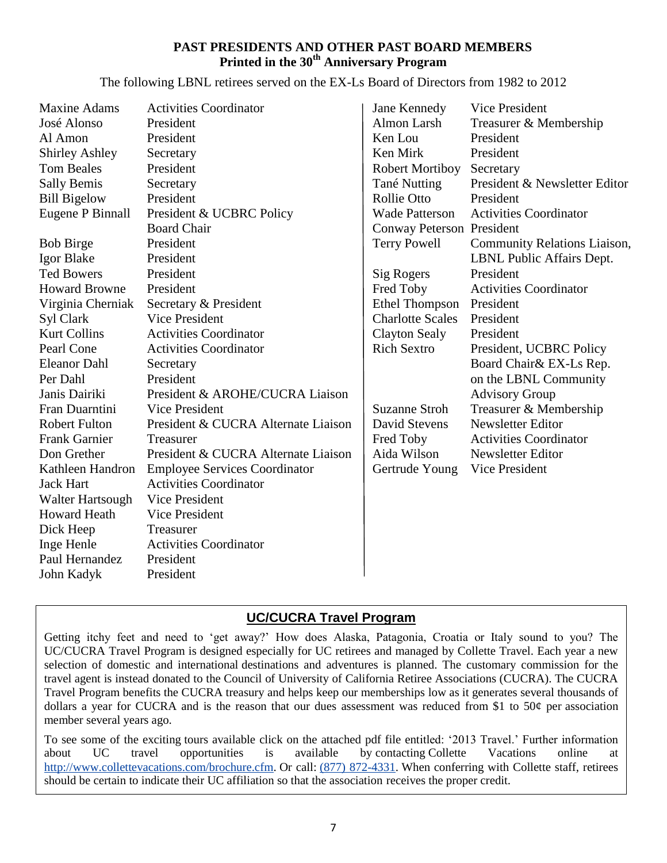# **PAST PRESIDENTS AND OTHER PAST BOARD MEMBERS Printed in the 30th Anniversary Program**

The following LBNL retirees served on the EX-Ls Board of Directors from 1982 to 2012

| <b>Maxine Adams</b>   | <b>Activities Coordinator</b>        | Jane Kennedy                     | Vice President                |
|-----------------------|--------------------------------------|----------------------------------|-------------------------------|
| José Alonso           | President                            | Almon Larsh                      | Treasurer & Membership        |
| Al Amon               | President                            | Ken Lou                          | President                     |
| <b>Shirley Ashley</b> | Secretary                            | Ken Mirk                         | President                     |
| <b>Tom Beales</b>     | President                            | <b>Robert Mortiboy</b>           | Secretary                     |
| <b>Sally Bemis</b>    | Secretary                            | <b>Tané Nutting</b>              | President & Newsletter Editor |
| <b>Bill Bigelow</b>   | President                            | <b>Rollie Otto</b>               | President                     |
| Eugene P Binnall      | President & UCBRC Policy             | <b>Wade Patterson</b>            | <b>Activities Coordinator</b> |
|                       | <b>Board Chair</b>                   | <b>Conway Peterson President</b> |                               |
| <b>Bob Birge</b>      | President                            | <b>Terry Powell</b>              | Community Relations Liaison,  |
| Igor Blake            | President                            |                                  | LBNL Public Affairs Dept.     |
| <b>Ted Bowers</b>     | President                            | Sig Rogers                       | President                     |
| <b>Howard Browne</b>  | President                            | Fred Toby                        | <b>Activities Coordinator</b> |
| Virginia Cherniak     | Secretary & President                | Ethel Thompson                   | President                     |
| Syl Clark             | Vice President                       | <b>Charlotte Scales</b>          | President                     |
| <b>Kurt Collins</b>   | <b>Activities Coordinator</b>        | <b>Clayton Sealy</b>             | President                     |
| Pearl Cone            | <b>Activities Coordinator</b>        | <b>Rich Sextro</b>               | President, UCBRC Policy       |
| <b>Eleanor Dahl</b>   | Secretary                            |                                  | Board Chair & EX-Ls Rep.      |
| Per Dahl              | President                            |                                  | on the LBNL Community         |
| Janis Dairiki         | President & AROHE/CUCRA Liaison      |                                  | <b>Advisory Group</b>         |
| Fran Duarntini        | Vice President                       | <b>Suzanne Stroh</b>             | Treasurer & Membership        |
| <b>Robert Fulton</b>  | President & CUCRA Alternate Liaison  | David Stevens                    | <b>Newsletter Editor</b>      |
| <b>Frank Garnier</b>  | Treasurer                            | Fred Toby                        | <b>Activities Coordinator</b> |
| Don Grether           | President & CUCRA Alternate Liaison  | Aida Wilson                      | Newsletter Editor             |
| Kathleen Handron      | <b>Employee Services Coordinator</b> | Gertrude Young                   | Vice President                |
| <b>Jack Hart</b>      | <b>Activities Coordinator</b>        |                                  |                               |
| Walter Hartsough      | Vice President                       |                                  |                               |
| <b>Howard Heath</b>   | Vice President                       |                                  |                               |
| Dick Heep             | Treasurer                            |                                  |                               |
| Inge Henle            | <b>Activities Coordinator</b>        |                                  |                               |
| Paul Hernandez        | President                            |                                  |                               |
| John Kadyk            | President                            |                                  |                               |

# **UC/CUCRA Travel Program**

Getting itchy feet and need to 'get away?' How does Alaska, Patagonia, Croatia or Italy sound to you? The UC/CUCRA Travel Program is designed especially for UC retirees and managed by Collette Travel. Each year a new selection of domestic and international destinations and adventures is planned. The customary commission for the travel agent is instead donated to the Council of University of California Retiree Associations (CUCRA). The CUCRA Travel Program benefits the CUCRA treasury and helps keep our memberships low as it generates several thousands of dollars a year for CUCRA and is the reason that our dues assessment was reduced from \$1 to 50¢ per association member several years ago.

To see some of the exciting tours available click on the attached pdf file entitled: '2013 Travel.' Further information about UC travel opportunities is available by contacting Collette Vacations online at [http://www.collettevacations.com/brochure.cfm.](http://www.collettevacations.com/brochure.cfm) Or call: [\(877\) 872-4331.](tel:%28877%29%20872-4331) When conferring with Collette staff, retirees should be certain to indicate their UC affiliation so that the association receives the proper credit.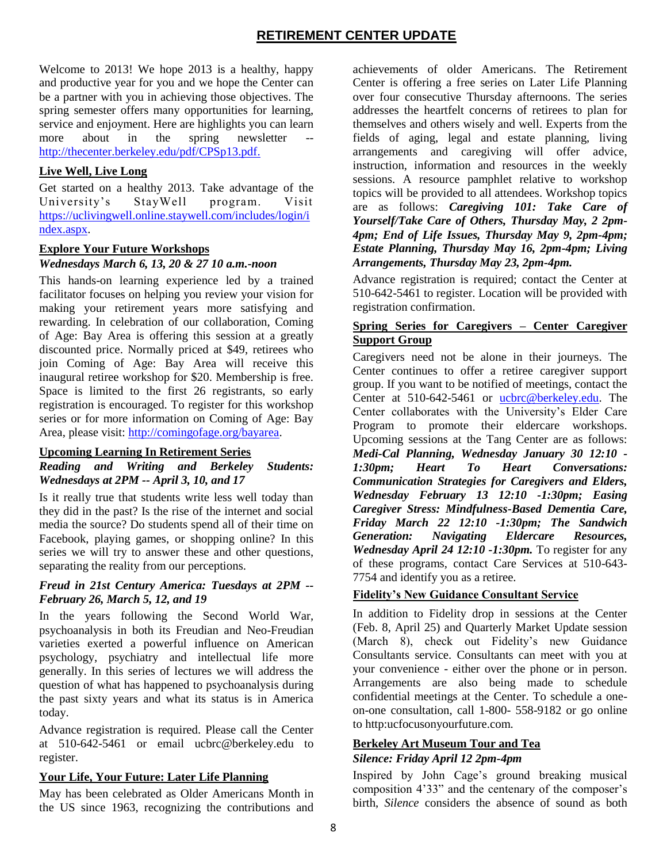Welcome to 2013! We hope 2013 is a healthy, happy and productive year for you and we hope the Center can be a partner with you in achieving those objectives. The spring semester offers many opportunities for learning, service and enjoyment. Here are highlights you can learn more about in the spring newsletter [http://thecenter.berkeley.edu/pdf/CPSp13.pdf.](http://thecenter.berkeley.edu/pdf/CPSp13.pdf)

# **Live Well, Live Long**

Get started on a healthy 2013. Take advantage of the University's StayWell program. Visit [https://uclivingwell.online.staywell.com/includes/login/i](https://uclivingwell.online.staywell.com/includes/login/index.aspx) [ndex.aspx.](https://uclivingwell.online.staywell.com/includes/login/index.aspx)

#### **Explore Your Future Workshops** *Wednesdays March 6, 13, 20 & 27 10 a.m.-noon*

This hands-on learning experience led by a trained facilitator focuses on helping you review your vision for making your retirement years more satisfying and rewarding. In celebration of our collaboration, Coming of Age: Bay Area is offering this session at a greatly discounted price. Normally priced at \$49, retirees who join Coming of Age: Bay Area will receive this inaugural retiree workshop for \$20. Membership is free. Space is limited to the first 26 registrants, so early registration is encouraged. To register for this workshop series or for more information on Coming of Age: Bay Area, please visit: [http://comingofage.org/bayarea.](http://comingofage.org/bayarea)

# **Upcoming Learning In Retirement Series**

# *Reading and Writing and Berkeley Students: Wednesdays at 2PM -- April 3, 10, and 17*

Is it really true that students write less well today than they did in the past? Is the rise of the internet and social media the source? Do students spend all of their time on Facebook, playing games, or shopping online? In this series we will try to answer these and other questions, separating the reality from our perceptions.

## *Freud in 21st Century America: Tuesdays at 2PM -- February 26, March 5, 12, and 19*

In the years following the Second World War, psychoanalysis in both its Freudian and Neo-Freudian varieties exerted a powerful influence on American psychology, psychiatry and intellectual life more generally. In this series of lectures we will address the question of what has happened to psychoanalysis during the past sixty years and what its status is in America today.

Advance registration is required. Please call the Center at 510-642-5461 or email ucbrc@berkeley.edu to register.

# **Your Life, Your Future: Later Life Planning**

May has been celebrated as Older Americans Month in the US since 1963, recognizing the contributions and

achievements of older Americans. The Retirement Center is offering a free series on Later Life Planning over four consecutive Thursday afternoons. The series addresses the heartfelt concerns of retirees to plan for themselves and others wisely and well. Experts from the fields of aging, legal and estate planning, living arrangements and caregiving will offer advice, instruction, information and resources in the weekly sessions. A resource pamphlet relative to workshop topics will be provided to all attendees. Workshop topics are as follows: *Caregiving 101: Take Care of Yourself/Take Care of Others, Thursday May, 2 2pm-4pm; End of Life Issues, Thursday May 9, 2pm-4pm; Estate Planning, Thursday May 16, 2pm-4pm; Living Arrangements, Thursday May 23, 2pm-4pm.*

Advance registration is required; contact the Center at 510-642-5461 to register. Location will be provided with registration confirmation.

# **Spring Series for Caregivers – Center Caregiver Support Group**

Caregivers need not be alone in their journeys. The Center continues to offer a retiree caregiver support group. If you want to be notified of meetings, contact the Center at 510-642-5461 or [ucbrc@berkeley.edu.](mailto:ucbrc@berkeley.edu) The Center collaborates with the University's Elder Care Program to promote their eldercare workshops. Upcoming sessions at the Tang Center are as follows: *Medi-Cal Planning, Wednesday January 30 12:10 - 1:30pm; Heart To Heart Conversations: Communication Strategies for Caregivers and Elders, Wednesday February 13 12:10 -1:30pm; Easing Caregiver Stress: Mindfulness-Based Dementia Care, Friday March 22 12:10 -1:30pm; The Sandwich Generation: Navigating Eldercare Resources, Wednesday April 24 12:10 -1:30pm.* To register for any of these programs, contact Care Services at 510-643- 7754 and identify you as a retiree.

# **Fidelity's New Guidance Consultant Service**

In addition to Fidelity drop in sessions at the Center (Feb. 8, April 25) and Quarterly Market Update session (March 8), check out Fidelity's new Guidance Consultants service. Consultants can meet with you at your convenience - either over the phone or in person. Arrangements are also being made to schedule confidential meetings at the Center. To schedule a oneon-one consultation, call 1-800- 558-9182 or go online to http:ucfocusonyourfuture.com.

# **Berkeley Art Museum Tour and Tea**

# *Silence: Friday April 12 2pm-4pm*

Inspired by John Cage's ground breaking musical composition 4'33" and the centenary of the composer's birth, *Silence* considers the absence of sound as both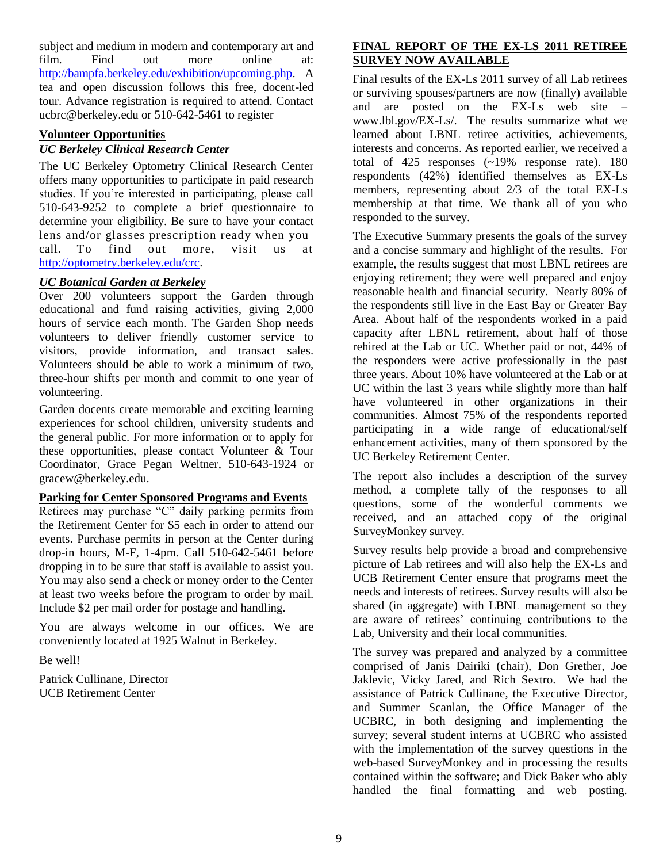subject and medium in modern and contemporary art and film. Find out more online at: [http://bampfa.berkeley.edu/exhibition/upcoming.php.](http://bampfa.berkeley.edu/exhibition/upcoming.php) A tea and open discussion follows this free, docent-led tour. Advance registration is required to attend. Contact ucbrc@berkeley.edu or 510-642-5461 to register

## **Volunteer Opportunities**

## *UC Berkeley Clinical Research Center*

The UC Berkeley Optometry Clinical Research Center offers many opportunities to participate in paid research studies. If you're interested in participating, please call 510-643-9252 to complete a brief questionnaire to determine your eligibility. Be sure to have your contact lens and/or glasses prescription ready when you call. To find out more, visit us at [http://optometry.berkeley.edu/crc.](http://optometry.berkeley.edu/crc)

# *UC Botanical Garden at Berkeley*

Over 200 volunteers support the Garden through educational and fund raising activities, giving 2,000 hours of service each month. The Garden Shop needs volunteers to deliver friendly customer service to visitors, provide information, and transact sales. Volunteers should be able to work a minimum of two, three-hour shifts per month and commit to one year of volunteering.

Garden docents create memorable and exciting learning experiences for school children, university students and the general public. For more information or to apply for these opportunities, please contact Volunteer & Tour Coordinator, Grace Pegan Weltner, 510-643-1924 or gracew@berkeley.edu.

# **Parking for Center Sponsored Programs and Events**

Retirees may purchase "C" daily parking permits from the Retirement Center for \$5 each in order to attend our events. Purchase permits in person at the Center during drop-in hours, M-F, 1-4pm. Call 510-642-5461 before dropping in to be sure that staff is available to assist you. You may also send a check or money order to the Center at least two weeks before the program to order by mail. Include \$2 per mail order for postage and handling.

You are always welcome in our offices. We are conveniently located at 1925 Walnut in Berkeley.

Be well!

Patrick Cullinane, Director UCB Retirement Center

#### **FINAL REPORT OF THE EX-LS 2011 RETIREE SURVEY NOW AVAILABLE**

Final results of the EX-Ls 2011 survey of all Lab retirees or surviving spouses/partners are now (finally) available and are posted on the EX-Ls web site – www.lbl.gov/EX-Ls/. The results summarize what we learned about LBNL retiree activities, achievements, interests and concerns. As reported earlier, we received a total of 425 responses (~19% response rate). 180 respondents (42%) identified themselves as EX-Ls members, representing about 2/3 of the total EX-Ls membership at that time. We thank all of you who responded to the survey.

The Executive Summary presents the goals of the survey and a concise summary and highlight of the results. For example, the results suggest that most LBNL retirees are enjoying retirement; they were well prepared and enjoy reasonable health and financial security. Nearly 80% of the respondents still live in the East Bay or Greater Bay Area. About half of the respondents worked in a paid capacity after LBNL retirement, about half of those rehired at the Lab or UC. Whether paid or not, 44% of the responders were active professionally in the past three years. About 10% have volunteered at the Lab or at UC within the last 3 years while slightly more than half have volunteered in other organizations in their communities. Almost 75% of the respondents reported participating in a wide range of educational/self enhancement activities, many of them sponsored by the UC Berkeley Retirement Center.

The report also includes a description of the survey method, a complete tally of the responses to all questions, some of the wonderful comments we received, and an attached copy of the original SurveyMonkey survey.

Survey results help provide a broad and comprehensive picture of Lab retirees and will also help the EX-Ls and UCB Retirement Center ensure that programs meet the needs and interests of retirees. Survey results will also be shared (in aggregate) with LBNL management so they are aware of retirees' continuing contributions to the Lab, University and their local communities.

The survey was prepared and analyzed by a committee comprised of Janis Dairiki (chair), Don Grether, Joe Jaklevic, Vicky Jared, and Rich Sextro. We had the assistance of Patrick Cullinane, the Executive Director, and Summer Scanlan, the Office Manager of the UCBRC, in both designing and implementing the survey; several student interns at UCBRC who assisted with the implementation of the survey questions in the web-based SurveyMonkey and in processing the results contained within the software; and Dick Baker who ably handled the final formatting and web posting.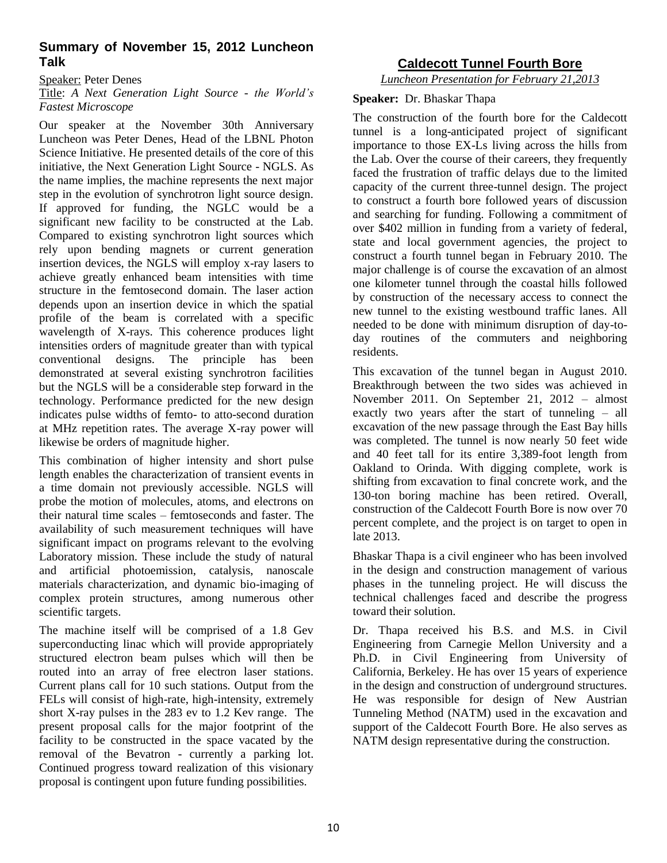# **Summary of November 15, 2012 Luncheon Talk**

Speaker: Peter Denes

Title: *A Next Generation Light Source - the World's Fastest Microscope*

Our speaker at the November 30th Anniversary Luncheon was Peter Denes, Head of the LBNL Photon Science Initiative. He presented details of the core of this initiative, the Next Generation Light Source - NGLS. As the name implies, the machine represents the next major step in the evolution of synchrotron light source design. If approved for funding, the NGLC would be a significant new facility to be constructed at the Lab. Compared to existing synchrotron light sources which rely upon bending magnets or current generation insertion devices, the NGLS will employ x-ray lasers to achieve greatly enhanced beam intensities with time structure in the femtosecond domain. The laser action depends upon an insertion device in which the spatial profile of the beam is correlated with a specific wavelength of X-rays. This coherence produces light intensities orders of magnitude greater than with typical conventional designs. The principle has been demonstrated at several existing synchrotron facilities but the NGLS will be a considerable step forward in the technology. Performance predicted for the new design indicates pulse widths of femto- to atto-second duration at MHz repetition rates. The average X-ray power will likewise be orders of magnitude higher.

This combination of higher intensity and short pulse length enables the characterization of transient events in a time domain not previously accessible. NGLS will probe the motion of molecules, atoms, and electrons on their natural time scales – femtoseconds and faster. The availability of such measurement techniques will have significant impact on programs relevant to the evolving Laboratory mission. These include the study of natural and artificial photoemission, catalysis, nanoscale materials characterization, and dynamic bio-imaging of complex protein structures, among numerous other scientific targets.

The machine itself will be comprised of a 1.8 Gev superconducting linac which will provide appropriately structured electron beam pulses which will then be routed into an array of free electron laser stations. Current plans call for 10 such stations. Output from the FELs will consist of high-rate, high-intensity, extremely short X-ray pulses in the 283 ev to 1.2 Kev range. The present proposal calls for the major footprint of the facility to be constructed in the space vacated by the removal of the Bevatron - currently a parking lot. Continued progress toward realization of this visionary proposal is contingent upon future funding possibilities.

# **Caldecott Tunnel Fourth Bore**

*Luncheon Presentation for February 21,2013*

# **Speaker:** Dr. Bhaskar Thapa

The construction of the fourth bore for the Caldecott tunnel is a long-anticipated project of significant importance to those EX-Ls living across the hills from the Lab. Over the course of their careers, they frequently faced the frustration of traffic delays due to the limited capacity of the current three-tunnel design. The project to construct a fourth bore followed years of discussion and searching for funding. Following a commitment of over \$402 million in funding from a variety of federal, state and local government agencies, the project to construct a fourth tunnel began in February 2010. The major challenge is of course the excavation of an almost one kilometer tunnel through the coastal hills followed by construction of the necessary access to connect the new tunnel to the existing westbound traffic lanes. All needed to be done with minimum disruption of day-today routines of the commuters and neighboring residents.

This excavation of the tunnel began in August 2010. Breakthrough between the two sides was achieved in November 2011. On September 21, 2012 – almost exactly two years after the start of tunneling – all excavation of the new passage through the East Bay hills was completed. The tunnel is now nearly 50 feet wide and 40 feet tall for its entire 3,389-foot length from Oakland to Orinda. With digging complete, work is shifting from excavation to final concrete work, and the 130-ton boring machine has been retired. Overall, construction of the Caldecott Fourth Bore is now over 70 percent complete, and the project is on target to open in late 2013.

Bhaskar Thapa is a civil engineer who has been involved in the design and construction management of various phases in the tunneling project. He will discuss the technical challenges faced and describe the progress toward their solution.

Dr. Thapa received his B.S. and M.S. in Civil Engineering from Carnegie Mellon University and a Ph.D. in Civil Engineering from University of California, Berkeley. He has over 15 years of experience in the design and construction of underground structures. He was responsible for design of New Austrian Tunneling Method (NATM) used in the excavation and support of the Caldecott Fourth Bore. He also serves as NATM design representative during the construction.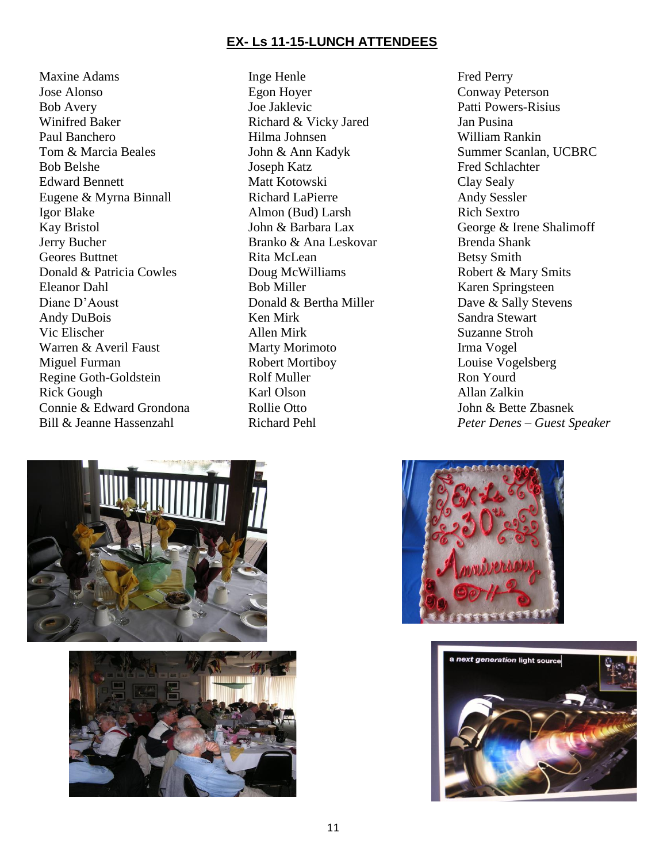# **EX- Ls 11-15-LUNCH ATTENDEES**

Maxine Adams Jose Alonso Bob Avery Winifred Baker Paul Banchero Tom & Marcia Beales Bob Belshe Edward Bennett Eugene & Myrna Binnall Igor Blake Kay Bristol Jerry Bucher Geores Buttnet Donald & Patricia Cowles Eleanor Dahl Diane D'Aoust Andy DuBois Vic Elischer Warren & Averil Faust Miguel Furman Regine Goth-Goldstein Rick Gough Connie & Edward Grondona Bill & Jeanne Hassenzahl

Inge Henle Egon Hoyer Joe Jaklevic Richard & Vicky Jared Hilma Johnsen John & Ann Kadyk Joseph Katz Matt Kotowski Richard LaPierre Almon (Bud) Larsh John & Barbara Lax Branko & Ana Leskovar Rita McLean Doug McWilliams Bob Miller Donald & Bertha Miller Ken Mirk Allen Mirk Marty Morimoto Robert Mortiboy Rolf Muller Karl Olson Rollie Otto Richard Pehl

Fred Perry Conway Peterson Patti Powers-Risius Jan Pusina William Rankin Summer Scanlan, UCBRC Fred Schlachter Clay Sealy Andy Sessler Rich Sextro George & Irene Shalimoff Brenda Shank Betsy Smith Robert & Mary Smits Karen Springsteen Dave & Sally Stevens Sandra Stewart Suzanne Stroh Irma Vogel Louise Vogelsberg Ron Yourd Allan Zalkin John & Bette Zbasnek *Peter Denes – Guest Speaker*